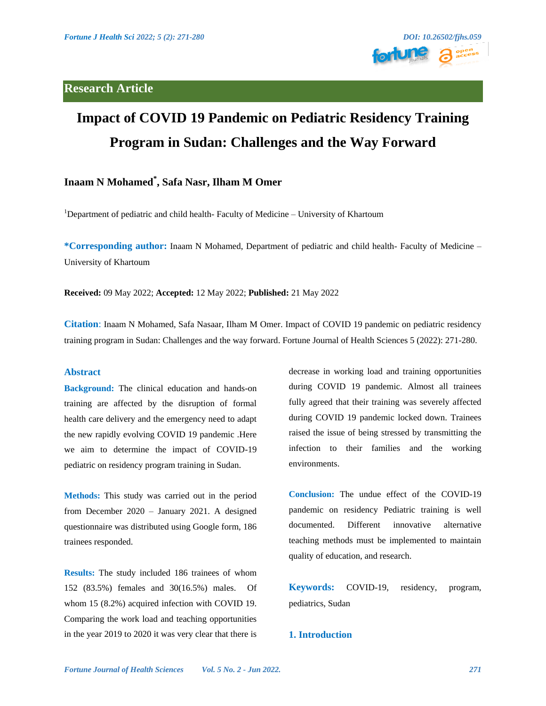# **Research Article**



# **Impact of COVID 19 Pandemic on Pediatric Residency Training Program in Sudan: Challenges and the Way Forward**

# **Inaam N Mohamed\* , Safa Nasr, Ilham M Omer**

<sup>1</sup>Department of pediatric and child health-Faculty of Medicine – University of Khartoum

**\*Corresponding author:** Inaam N Mohamed, Department of pediatric and child health- Faculty of Medicine – University of Khartoum

**Received:** 09 May 2022; **Accepted:** 12 May 2022; **Published:** 21 May 2022

**Citation**: Inaam N Mohamed, Safa Nasaar, Ilham M Omer. Impact of COVID 19 pandemic on pediatric residency training program in Sudan: Challenges and the way forward. Fortune Journal of Health Sciences 5 (2022): 271-280.

# **Abstract**

**Background:** The clinical education and hands-on training are affected by the disruption of formal health care delivery and the emergency need to adapt the new rapidly evolving COVID 19 pandemic .Here we aim to determine the impact of COVID-19 pediatric on residency program training in Sudan.

**Methods:** This study was carried out in the period from December 2020 – January 2021. A designed questionnaire was distributed using Google form, 186 trainees responded.

**Results:** The study included 186 trainees of whom 152 (83.5%) females and 30(16.5%) males. Of whom 15 (8.2%) acquired infection with COVID 19. Comparing the work load and teaching opportunities in the year 2019 to 2020 it was very clear that there is decrease in working load and training opportunities during COVID 19 pandemic. Almost all trainees fully agreed that their training was severely affected during COVID 19 pandemic locked down. Trainees raised the issue of being stressed by transmitting the infection to their families and the working environments.

**Conclusion:** The undue effect of the COVID-19 pandemic on residency Pediatric training is well documented. Different innovative alternative teaching methods must be implemented to maintain quality of education, and research.

**Keywords:** COVID-19, residency, program, pediatrics, Sudan

# **1. Introduction**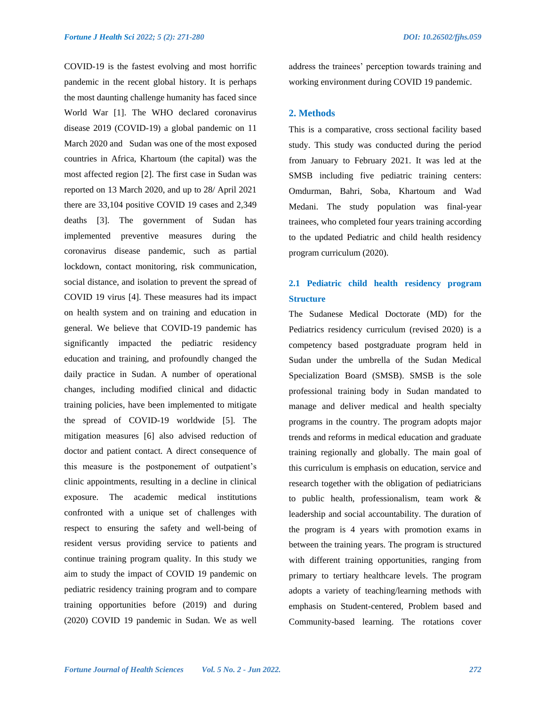COVID-19 is the fastest evolving and most horrific pandemic in the recent global history. It is perhaps the most daunting challenge humanity has faced since World War [1]. The WHO declared coronavirus disease 2019 (COVID-19) a global pandemic on 11 March 2020 and Sudan was one of the most exposed countries in Africa, Khartoum (the capital) was the most affected region [2]. The first case in Sudan was reported on 13 March 2020, and up to 28/ April 2021 there are 33,104 positive COVID 19 cases and 2,349 deaths [3]. The government of Sudan has implemented preventive measures during the coronavirus disease pandemic, such as partial lockdown, contact monitoring, risk communication, social distance, and isolation to prevent the spread of COVID 19 virus [4]. These measures had its impact on health system and on training and education in general. We believe that COVID-19 pandemic has significantly impacted the pediatric residency education and training, and profoundly changed the daily practice in Sudan. A number of operational changes, including modified clinical and didactic training policies, have been implemented to mitigate the spread of COVID-19 worldwide [5]. The mitigation measures [6] also advised reduction of doctor and patient contact. A direct consequence of this measure is the postponement of outpatient's clinic appointments, resulting in a decline in clinical exposure. The academic medical institutions confronted with a unique set of challenges with respect to ensuring the safety and well-being of resident versus providing service to patients and continue training program quality. In this study we aim to study the impact of COVID 19 pandemic on pediatric residency training program and to compare training opportunities before (2019) and during (2020) COVID 19 pandemic in Sudan. We as well

address the trainees' perception towards training and working environment during COVID 19 pandemic.

# **2. Methods**

This is a comparative, cross sectional facility based study. This study was conducted during the period from January to February 2021. It was led at the SMSB including five pediatric training centers: Omdurman, Bahri, Soba, Khartoum and Wad Medani. The study population was final-year trainees, who completed four years training according to the updated Pediatric and child health residency program curriculum (2020).

# **2.1 Pediatric child health residency program Structure**

The Sudanese Medical Doctorate (MD) for the Pediatrics residency curriculum (revised 2020) is a competency based postgraduate program held in Sudan under the umbrella of the Sudan Medical Specialization Board (SMSB). SMSB is the sole professional training body in Sudan mandated to manage and deliver medical and health specialty programs in the country. The program adopts major trends and reforms in medical education and graduate training regionally and globally. The main goal of this curriculum is emphasis on education, service and research together with the obligation of pediatricians to public health, professionalism, team work & leadership and social accountability. The duration of the program is 4 years with promotion exams in between the training years. The program is structured with different training opportunities, ranging from primary to tertiary healthcare levels. The program adopts a variety of teaching/learning methods with emphasis on Student-centered, Problem based and Community-based learning. The rotations cover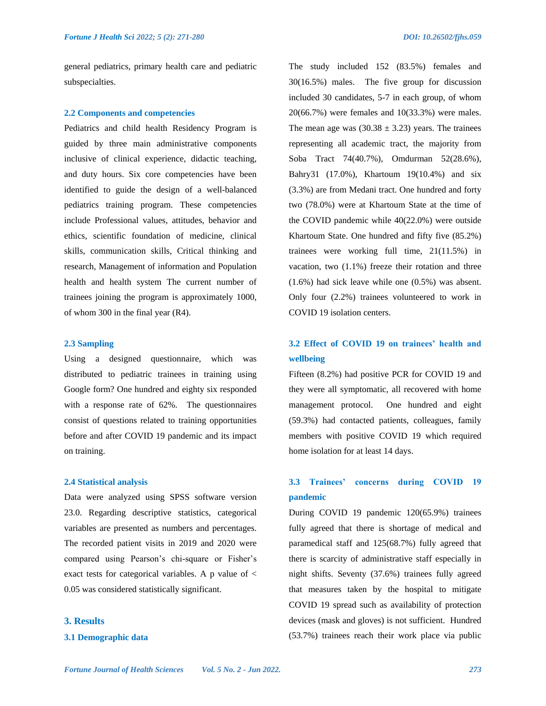general pediatrics, primary health care and pediatric subspecialties.

#### **2.2 Components and competencies**

Pediatrics and child health Residency Program is guided by three main administrative components inclusive of clinical experience, didactic teaching, and duty hours. Six core competencies have been identified to guide the design of a well-balanced pediatrics training program. These competencies include Professional values, attitudes, behavior and ethics, scientific foundation of medicine, clinical skills, communication skills, Critical thinking and research, Management of information and Population health and health system The current number of trainees joining the program is approximately 1000, of whom 300 in the final year (R4).

# **2.3 Sampling**

Using a designed questionnaire, which was distributed to pediatric trainees in training using Google form? One hundred and eighty six responded with a response rate of 62%. The questionnaires consist of questions related to training opportunities before and after COVID 19 pandemic and its impact on training.

#### **2.4 Statistical analysis**

Data were analyzed using SPSS software version 23.0. Regarding descriptive statistics, categorical variables are presented as numbers and percentages. The recorded patient visits in 2019 and 2020 were compared using Pearson's chi-square or Fisher's exact tests for categorical variables. A p value of < 0.05 was considered statistically significant.

# **3. Results**

### **3.1 Demographic data**

The study included 152 (83.5%) females and 30(16.5%) males. The five group for discussion included 30 candidates, 5-7 in each group, of whom 20(66.7%) were females and 10(33.3%) were males. The mean age was  $(30.38 \pm 3.23)$  years. The trainees representing all academic tract, the majority from Soba Tract 74(40.7%), Omdurman 52(28.6%), Bahry31 (17.0%), Khartoum 19(10.4%) and six (3.3%) are from Medani tract. One hundred and forty two (78.0%) were at Khartoum State at the time of the COVID pandemic while 40(22.0%) were outside Khartoum State. One hundred and fifty five (85.2%) trainees were working full time, 21(11.5%) in vacation, two (1.1%) freeze their rotation and three (1.6%) had sick leave while one (0.5%) was absent. Only four (2.2%) trainees volunteered to work in COVID 19 isolation centers.

# **3.2 Effect of COVID 19 on trainees' health and wellbeing**

Fifteen (8.2%) had positive PCR for COVID 19 and they were all symptomatic, all recovered with home management protocol. One hundred and eight (59.3%) had contacted patients, colleagues, family members with positive COVID 19 which required home isolation for at least 14 days.

# **3.3 Trainees' concerns during COVID 19 pandemic**

During COVID 19 pandemic 120(65.9%) trainees fully agreed that there is shortage of medical and paramedical staff and 125(68.7%) fully agreed that there is scarcity of administrative staff especially in night shifts. Seventy (37.6%) trainees fully agreed that measures taken by the hospital to mitigate COVID 19 spread such as availability of protection devices (mask and gloves) is not sufficient. Hundred (53.7%) trainees reach their work place via public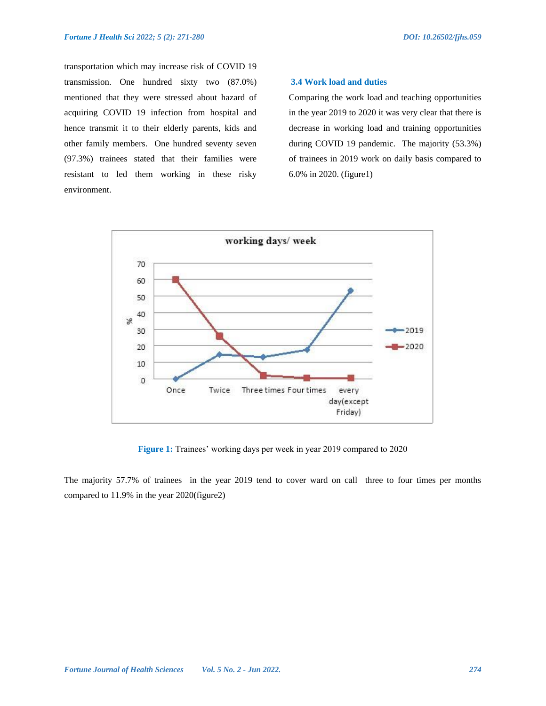transportation which may increase risk of COVID 19 transmission. One hundred sixty two (87.0%) mentioned that they were stressed about hazard of acquiring COVID 19 infection from hospital and hence transmit it to their elderly parents, kids and other family members. One hundred seventy seven (97.3%) trainees stated that their families were resistant to led them working in these risky environment.

# **3.4 Work load and duties**

Comparing the work load and teaching opportunities in the year 2019 to 2020 it was very clear that there is decrease in working load and training opportunities during COVID 19 pandemic. The majority (53.3%) of trainees in 2019 work on daily basis compared to 6.0% in 2020. (figure1)



**Figure 1:** Trainees' working days per week in year 2019 compared to 2020

The majority 57.7% of trainees in the year 2019 tend to cover ward on call three to four times per months compared to 11.9% in the year 2020(figure2)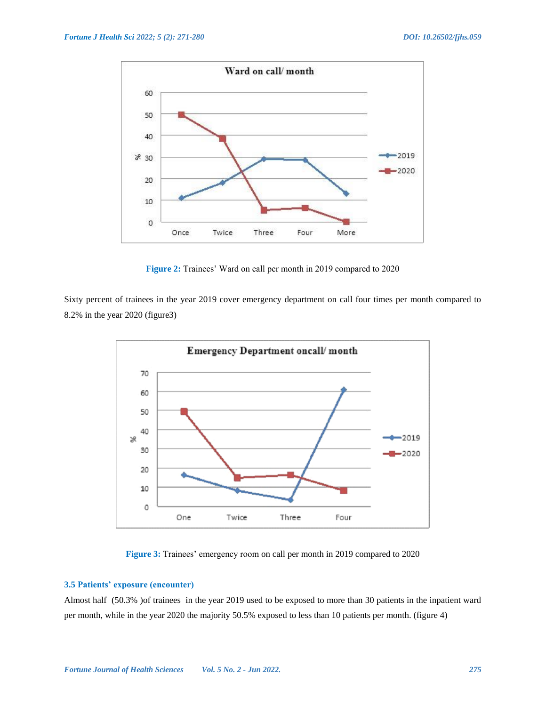

**Figure 2:** Trainees' Ward on call per month in 2019 compared to 2020

Sixty percent of trainees in the year 2019 cover emergency department on call four times per month compared to 8.2% in the year 2020 (figure3)



**Figure 3:** Trainees' emergency room on call per month in 2019 compared to 2020

# **3.5 Patients' exposure (encounter)**

Almost half (50.3% )of trainees in the year 2019 used to be exposed to more than 30 patients in the inpatient ward per month, while in the year 2020 the majority 50.5% exposed to less than 10 patients per month. (figure 4)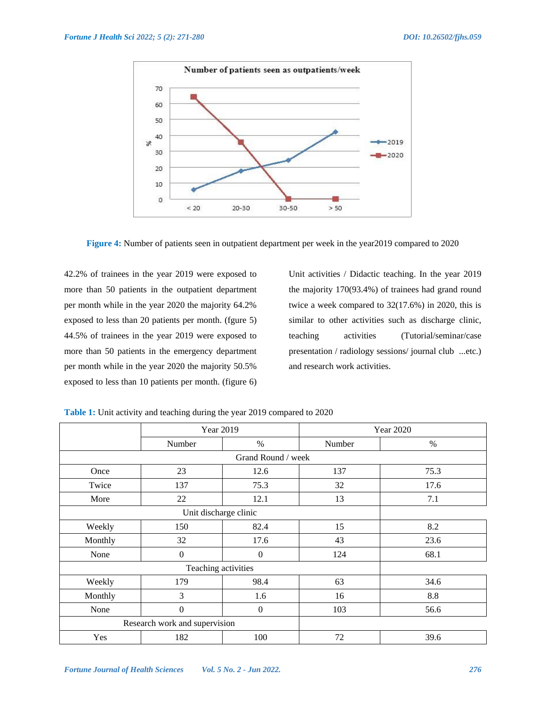

**Figure 4:** Number of patients seen in outpatient department per week in the year2019 compared to 2020

42.2% of trainees in the year 2019 were exposed to more than 50 patients in the outpatient department per month while in the year 2020 the majority 64.2% exposed to less than 20 patients per month. (fgure 5) 44.5% of trainees in the year 2019 were exposed to more than 50 patients in the emergency department per month while in the year 2020 the majority 50.5% exposed to less than 10 patients per month. (figure 6) Unit activities / Didactic teaching. In the year 2019 the majority 170(93.4%) of trainees had grand round twice a week compared to 32(17.6%) in 2020, this is similar to other activities such as discharge clinic, teaching activities (Tutorial/seminar/case presentation / radiology sessions/ journal club ...etc.) and research work activities.

|                               | Year 2019           |              | <b>Year 2020</b> |         |  |  |  |
|-------------------------------|---------------------|--------------|------------------|---------|--|--|--|
|                               | Number              | $\%$         | Number           | $\%$    |  |  |  |
| Grand Round / week            |                     |              |                  |         |  |  |  |
| Once                          | 23                  | 12.6         | 137              | 75.3    |  |  |  |
| Twice                         | 137                 | 75.3         | 32               | 17.6    |  |  |  |
| More                          | 22                  | 12.1         | 13               | 7.1     |  |  |  |
|                               |                     |              |                  |         |  |  |  |
| Weekly                        | 150                 | 82.4         | 15               | 8.2     |  |  |  |
| Monthly                       | 32                  | 17.6         | 43               | 23.6    |  |  |  |
| None                          | $\mathbf{0}$        | $\mathbf{0}$ | 124              | 68.1    |  |  |  |
|                               | Teaching activities |              |                  |         |  |  |  |
| Weekly                        | 179                 | 98.4         | 63               | 34.6    |  |  |  |
| Monthly                       | 3                   | 1.6          | 16               | $8.8\,$ |  |  |  |
| None                          | $\theta$            | $\mathbf{0}$ | 103              | 56.6    |  |  |  |
| Research work and supervision |                     |              |                  |         |  |  |  |
| Yes                           | 182                 | 100          | 72               | 39.6    |  |  |  |

**Table 1:** Unit activity and teaching during the year 2019 compared to 2020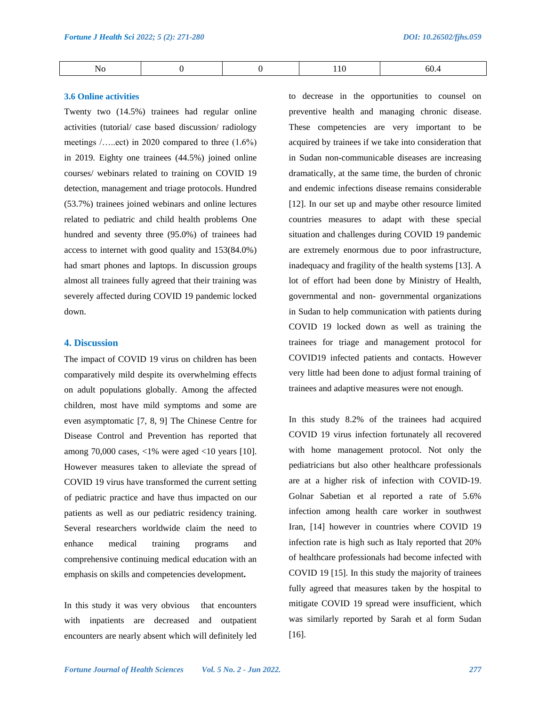| 60.4<br>N<br>NO<br>$ -$<br>_____ |  |  |  |  | - - |
|----------------------------------|--|--|--|--|-----|
|----------------------------------|--|--|--|--|-----|

#### **3.6 Online activities**

Twenty two (14.5%) trainees had regular online activities (tutorial/ case based discussion/ radiology meetings /…..ect) in 2020 compared to three (1.6%) in 2019. Eighty one trainees (44.5%) joined online courses/ webinars related to training on COVID 19 detection, management and triage protocols. Hundred (53.7%) trainees joined webinars and online lectures related to pediatric and child health problems One hundred and seventy three (95.0%) of trainees had access to internet with good quality and 153(84.0%) had smart phones and laptops. In discussion groups almost all trainees fully agreed that their training was severely affected during COVID 19 pandemic locked down.

# **4. Discussion**

The impact of COVID 19 virus on children has been comparatively mild despite its overwhelming effects on adult populations globally. Among the affected children, most have mild symptoms and some are even asymptomatic [7, 8, 9] The Chinese Centre for Disease Control and Prevention has reported that among 70,000 cases,  $<1\%$  were aged  $<10$  years [10]. However measures taken to alleviate the spread of COVID 19 virus have transformed the current setting of pediatric practice and have thus impacted on our patients as well as our pediatric residency training. Several researchers worldwide claim the need to enhance medical training programs and comprehensive continuing medical education with an emphasis on skills and competencies development**.**

In this study it was very obvious that encounters with inpatients are decreased and outpatient encounters are nearly absent which will definitely led to decrease in the opportunities to counsel on preventive health and managing chronic disease. These competencies are very important to be acquired by trainees if we take into consideration that in Sudan non-communicable diseases are increasing dramatically, at the same time, the burden of chronic and endemic infections disease remains considerable [12]. In our set up and maybe other resource limited countries measures to adapt with these special situation and challenges during COVID 19 pandemic are extremely enormous due to poor infrastructure, inadequacy and fragility of the health systems [13]. A lot of effort had been done by Ministry of Health, governmental and non- governmental organizations in Sudan to help communication with patients during COVID 19 locked down as well as training the trainees for triage and management protocol for COVID19 infected patients and contacts. However very little had been done to adjust formal training of trainees and adaptive measures were not enough.

In this study 8.2% of the trainees had acquired COVID 19 virus infection fortunately all recovered with home management protocol. Not only the pediatricians but also other healthcare professionals are at a higher risk of infection with COVID-19. Golnar Sabetian et al reported a rate of 5.6% infection among health care worker in southwest Iran, [14] however in countries where COVID 19 infection rate is high such as Italy reported that 20% of healthcare professionals had become infected with COVID 19 [15]. In this study the majority of trainees fully agreed that measures taken by the hospital to mitigate COVID 19 spread were insufficient, which was similarly reported by Sarah et al form Sudan [16].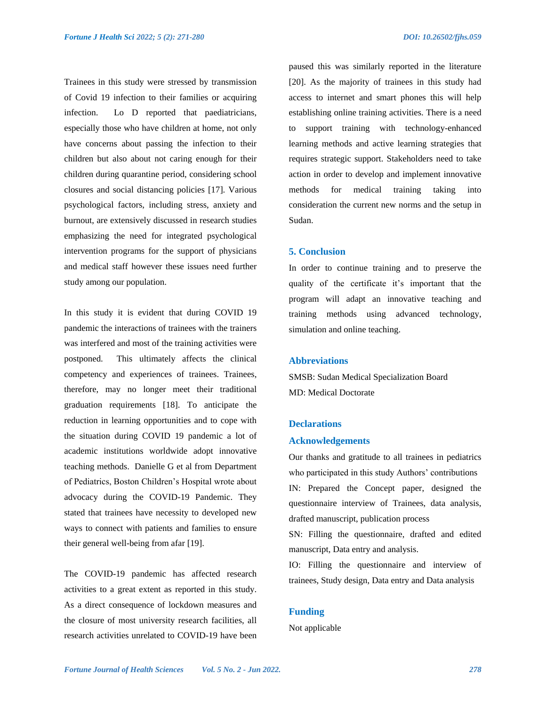Trainees in this study were stressed by transmission of Covid 19 infection to their families or acquiring infection. Lo D reported that paediatricians, especially those who have children at home, not only have concerns about passing the infection to their children but also about not caring enough for their children during quarantine period, considering school closures and social distancing policies [17]. Various psychological factors, including stress, anxiety and burnout, are extensively discussed in research studies emphasizing the need for integrated psychological intervention programs for the support of physicians and medical staff however these issues need further study among our population.

In this study it is evident that during COVID 19 pandemic the interactions of trainees with the trainers was interfered and most of the training activities were postponed. This ultimately affects the clinical competency and experiences of trainees. Trainees, therefore, may no longer meet their traditional graduation requirements [18]. To anticipate the reduction in learning opportunities and to cope with the situation during COVID 19 pandemic a lot of academic institutions worldwide adopt innovative teaching methods. Danielle G et al from Department of Pediatrics, Boston Children's Hospital wrote about advocacy during the COVID-19 Pandemic. They stated that trainees have necessity to developed new ways to connect with patients and families to ensure their general well-being from afar [19].

The COVID-19 pandemic has affected research activities to a great extent as reported in this study. As a direct consequence of lockdown measures and the closure of most university research facilities, all research activities unrelated to COVID-19 have been paused this was similarly reported in the literature [20]. As the majority of trainees in this study had access to internet and smart phones this will help establishing online training activities. There is a need to support training with technology-enhanced learning methods and active learning strategies that requires strategic support. Stakeholders need to take action in order to develop and implement innovative methods for medical training taking into consideration the current new norms and the setup in Sudan.

# **5. Conclusion**

In order to continue training and to preserve the quality of the certificate it's important that the program will adapt an innovative teaching and training methods using advanced technology, simulation and online teaching.

#### **Abbreviations**

SMSB: Sudan Medical Specialization Board MD: Medical Doctorate

# **Declarations**

# **Acknowledgements**

Our thanks and gratitude to all trainees in pediatrics who participated in this study Authors' contributions IN: Prepared the Concept paper, designed the questionnaire interview of Trainees, data analysis, drafted manuscript, publication process

SN: Filling the questionnaire, drafted and edited manuscript, Data entry and analysis.

IO: Filling the questionnaire and interview of trainees, Study design, Data entry and Data analysis

# **Funding**

Not applicable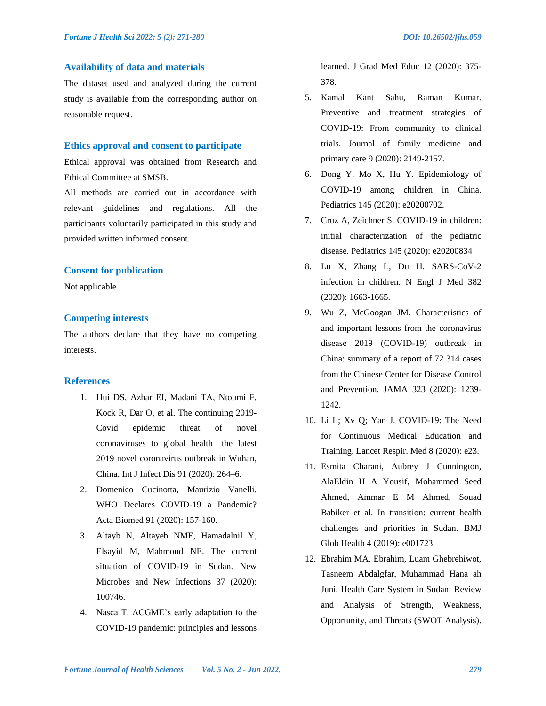# **Availability of data and materials**

The dataset used and analyzed during the current study is available from the corresponding author on reasonable request.

# **Ethics approval and consent to participate**

Ethical approval was obtained from Research and Ethical Committee at SMSB.

All methods are carried out in accordance with relevant guidelines and regulations. All the participants voluntarily participated in this study and provided written informed consent.

## **Consent for publication**

Not applicable

# **Competing interests**

The authors declare that they have no competing interests.

# **References**

- 1. Hui DS, Azhar EI, Madani TA, Ntoumi F, Kock R, Dar O, et al. The continuing 2019- Covid epidemic threat of novel coronaviruses to global health—the latest 2019 novel coronavirus outbreak in Wuhan, China. Int J Infect Dis 91 (2020): 264–6.
- 2. Domenico Cucinotta, Maurizio Vanelli. WHO Declares COVID-19 a Pandemic? Acta Biomed 91 (2020): 157-160.
- 3. Altayb N, Altayeb NME, Hamadalnil Y, Elsayid M, Mahmoud NE. The current situation of COVID-19 in Sudan. New Microbes and New Infections 37 (2020): 100746.
- 4. Nasca T. ACGME's early adaptation to the COVID-19 pandemic: principles and lessons

learned. J Grad Med Educ 12 (2020): 375- 378.

- 5. Kamal Kant Sahu, Raman Kumar. Preventive and treatment strategies of COVID-19: From community to clinical trials. Journal of family medicine and primary care 9 (2020): 2149-2157.
- 6. Dong Y, Mo X, Hu Y. Epidemiology of COVID-19 among children in China. Pediatrics 145 (2020): e20200702.
- 7. Cruz A, Zeichner S. COVID-19 in children: initial characterization of the pediatric disease. Pediatrics 145 (2020): e20200834
- 8. Lu X, Zhang L, Du H. SARS-CoV-2 infection in children. N Engl J Med 382 (2020): 1663-1665.
- 9. Wu Z, McGoogan JM. Characteristics of and important lessons from the coronavirus disease 2019 (COVID-19) outbreak in China: summary of a report of 72 314 cases from the Chinese Center for Disease Control and Prevention. JAMA 323 (2020): 1239- 1242.
- 10. Li L; Xv Q; Yan J. COVID-19: The Need for Continuous Medical Education and Training. Lancet Respir. Med 8 (2020): e23.
- 11. Esmita Charani, Aubrey J Cunnington, AlaEldin H A Yousif, Mohammed Seed Ahmed, Ammar E M Ahmed, Souad Babiker et al. In transition: current health challenges and priorities in Sudan. BMJ Glob Health 4 (2019): e001723.
- 12. Ebrahim MA. Ebrahim, Luam Ghebrehiwot, Tasneem Abdalgfar, Muhammad Hana ah Juni. Health Care System in Sudan: Review and Analysis of Strength, Weakness, Opportunity, and Threats (SWOT Analysis).